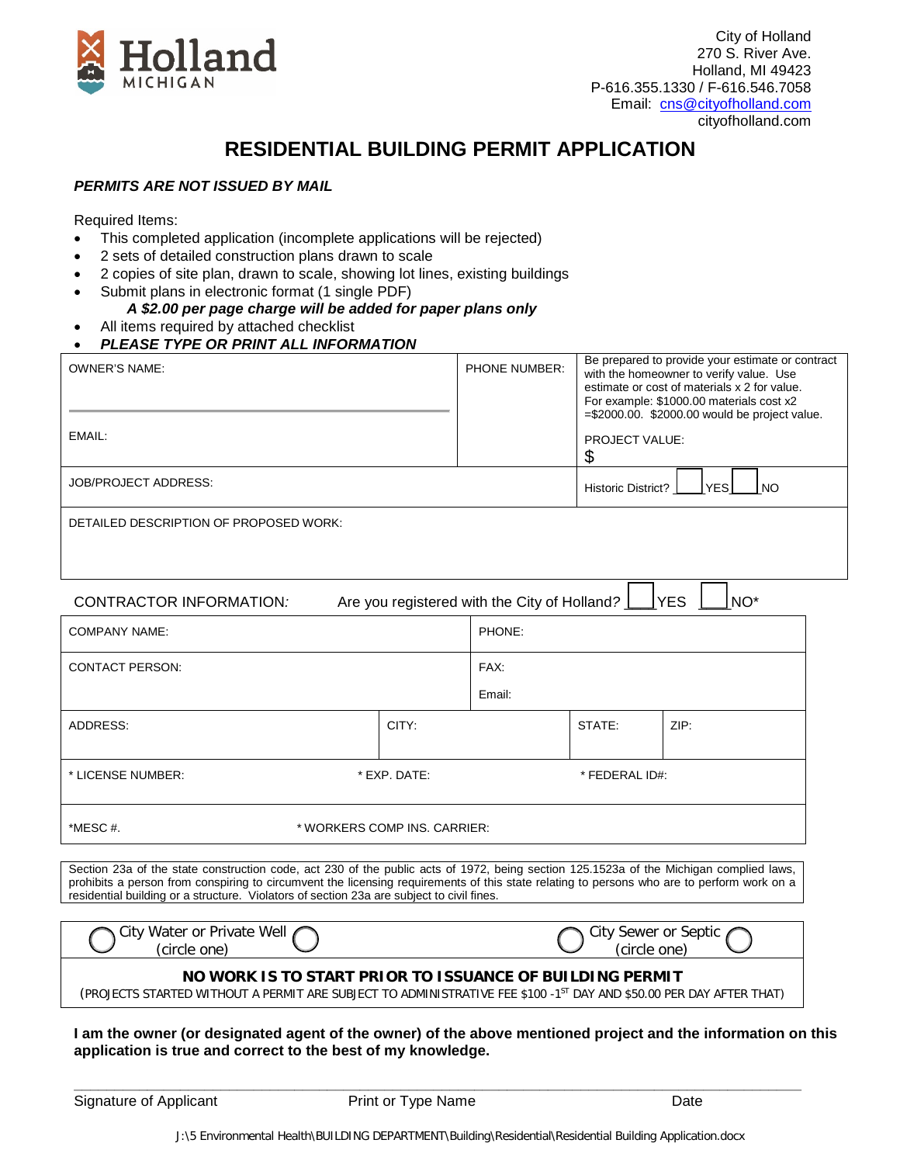

## **RESIDENTIAL BUILDING PERMIT APPLICATION**

## *PERMITS ARE NOT ISSUED BY MAIL*

Required Items:

- This completed application (incomplete applications will be rejected)
- 2 sets of detailed construction plans drawn to scale
- 2 copies of site plan, drawn to scale, showing lot lines, existing buildings
- Submit plans in electronic format (1 single PDF)
	- *A \$2.00 per page charge will be added for paper plans only*
- All items required by attached checklist
- *PLEASE TYPE OR PRINT ALL INFORMATION*

| <b>OWNER'S NAME:</b>                                                                                      |              | PHONE NUMBER: | Be prepared to provide your estimate or contract<br>with the homeowner to verify value. Use<br>estimate or cost of materials x 2 for value.<br>For example: \$1000.00 materials cost x2<br>$=\frac{2000.00}{2000.00}$ would be project value. |      |  |
|-----------------------------------------------------------------------------------------------------------|--------------|---------------|-----------------------------------------------------------------------------------------------------------------------------------------------------------------------------------------------------------------------------------------------|------|--|
| EMAIL:                                                                                                    |              |               | <b>PROJECT VALUE:</b><br>\$                                                                                                                                                                                                                   |      |  |
| <b>JOB/PROJECT ADDRESS:</b>                                                                               |              |               | <b>TYES</b><br>Historic District?<br><b>NO</b>                                                                                                                                                                                                |      |  |
| DETAILED DESCRIPTION OF PROPOSED WORK:                                                                    |              |               |                                                                                                                                                                                                                                               |      |  |
|                                                                                                           |              |               |                                                                                                                                                                                                                                               |      |  |
| NO <sup>*</sup><br> YES<br>Are you registered with the City of Holland?<br><b>CONTRACTOR INFORMATION:</b> |              |               |                                                                                                                                                                                                                                               |      |  |
| <b>COMPANY NAME:</b>                                                                                      |              | PHONE:        |                                                                                                                                                                                                                                               |      |  |
| <b>CONTACT PERSON:</b>                                                                                    |              | FAX:          |                                                                                                                                                                                                                                               |      |  |
|                                                                                                           |              | Email:        |                                                                                                                                                                                                                                               |      |  |
| ADDRESS:                                                                                                  | CITY:        |               | STATE:                                                                                                                                                                                                                                        | ZIP: |  |
| * LICENSE NUMBER:                                                                                         | * EXP. DATE: |               | * FEDERAL ID#:                                                                                                                                                                                                                                |      |  |
| *MESC#.<br>* WORKERS COMP INS. CARRIER:                                                                   |              |               |                                                                                                                                                                                                                                               |      |  |

Section 23a of the state construction code, act 230 of the public acts of 1972, being section 125.1523a of the Michigan complied laws, prohibits a person from conspiring to circumvent the licensing requirements of this state relating to persons who are to perform work on a residential building or a structure. Violators of section 23a are subject to civil fines.

| $\cdots$<br>Well<br>W.<br>`≀†\,<br>nr.<br>70 IV. 21 P<br>ıеı<br>one<br>.circle - | <b></b><br>`it۱.<br>otic<br>$\sim$ r<br>sewer<br>one:<br>tcii cle |
|----------------------------------------------------------------------------------|-------------------------------------------------------------------|
|                                                                                  |                                                                   |

## **NO WORK IS TO START PRIOR TO ISSUANCE OF BUILDING PERMIT**

(PROJECTS STARTED WITHOUT A PERMIT ARE SUBJECT TO ADMINISTRATIVE FEE \$100 -1ST DAY AND \$50.00 PER DAY AFTER THAT)

**I am the owner (or designated agent of the owner) of the above mentioned project and the information on this application is true and correct to the best of my knowledge.**

Signature of Applicant **Print or Type Name** Print or Type Name Date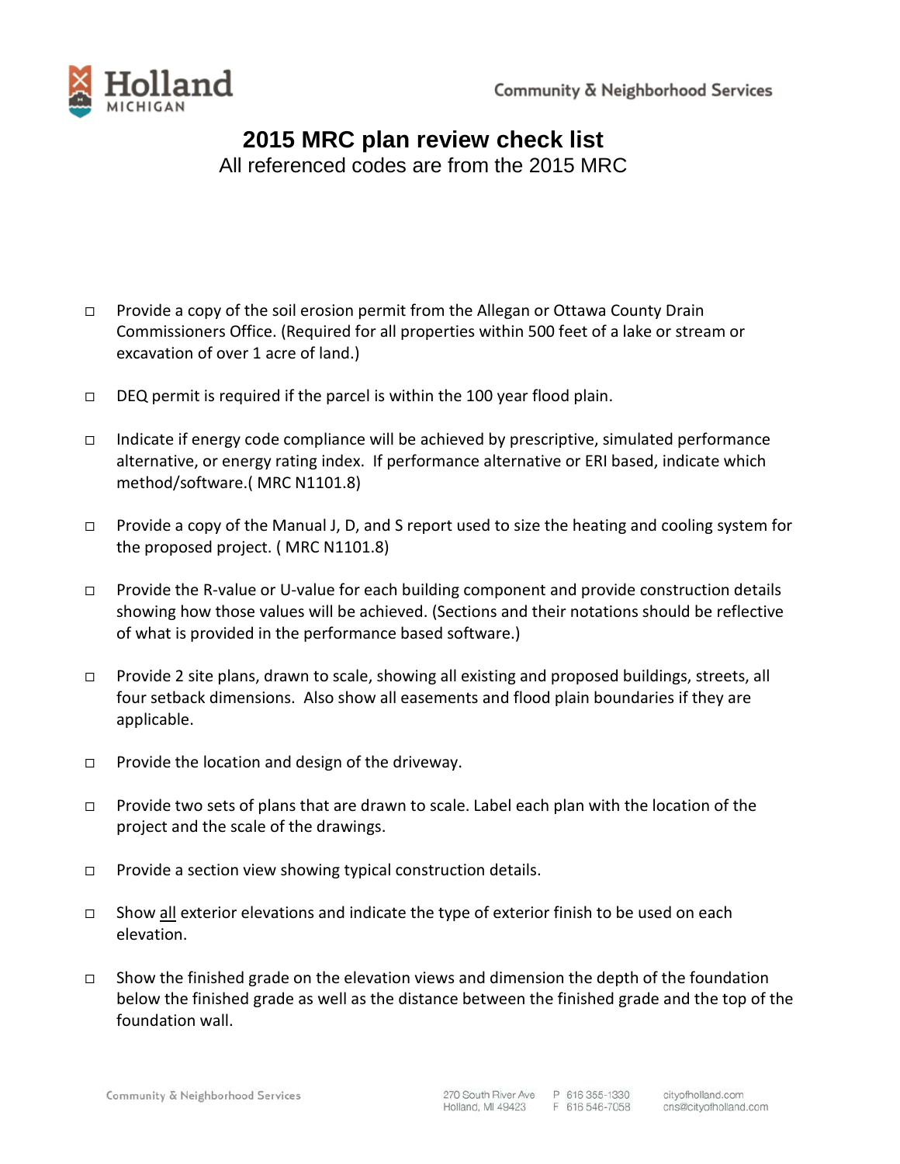

## **2015 MRC plan review check list**

All referenced codes are from the 2015 MRC

- $\Box$  Provide a copy of the soil erosion permit from the Allegan or Ottawa County Drain Commissioners Office. (Required for all properties within 500 feet of a lake or stream or excavation of over 1 acre of land.)
- $\Box$  DEQ permit is required if the parcel is within the 100 year flood plain.
- Indicate if energy code compliance will be achieved by prescriptive, simulated performance alternative, or energy rating index. If performance alternative or ERI based, indicate which method/software.( MRC N1101.8)
- □ Provide a copy of the Manual J, D, and S report used to size the heating and cooling system for the proposed project. ( MRC N1101.8)
- Provide the R-value or U-value for each building component and provide construction details showing how those values will be achieved. (Sections and their notations should be reflective of what is provided in the performance based software.)
- □ Provide 2 site plans, drawn to scale, showing all existing and proposed buildings, streets, all four setback dimensions. Also show all easements and flood plain boundaries if they are applicable.
- $\Box$  Provide the location and design of the driveway.
- $\Box$  Provide two sets of plans that are drawn to scale. Label each plan with the location of the project and the scale of the drawings.
- $\Box$  Provide a section view showing typical construction details.
- $\Box$  Show all exterior elevations and indicate the type of exterior finish to be used on each elevation.
- $\Box$  Show the finished grade on the elevation views and dimension the depth of the foundation below the finished grade as well as the distance between the finished grade and the top of the foundation wall.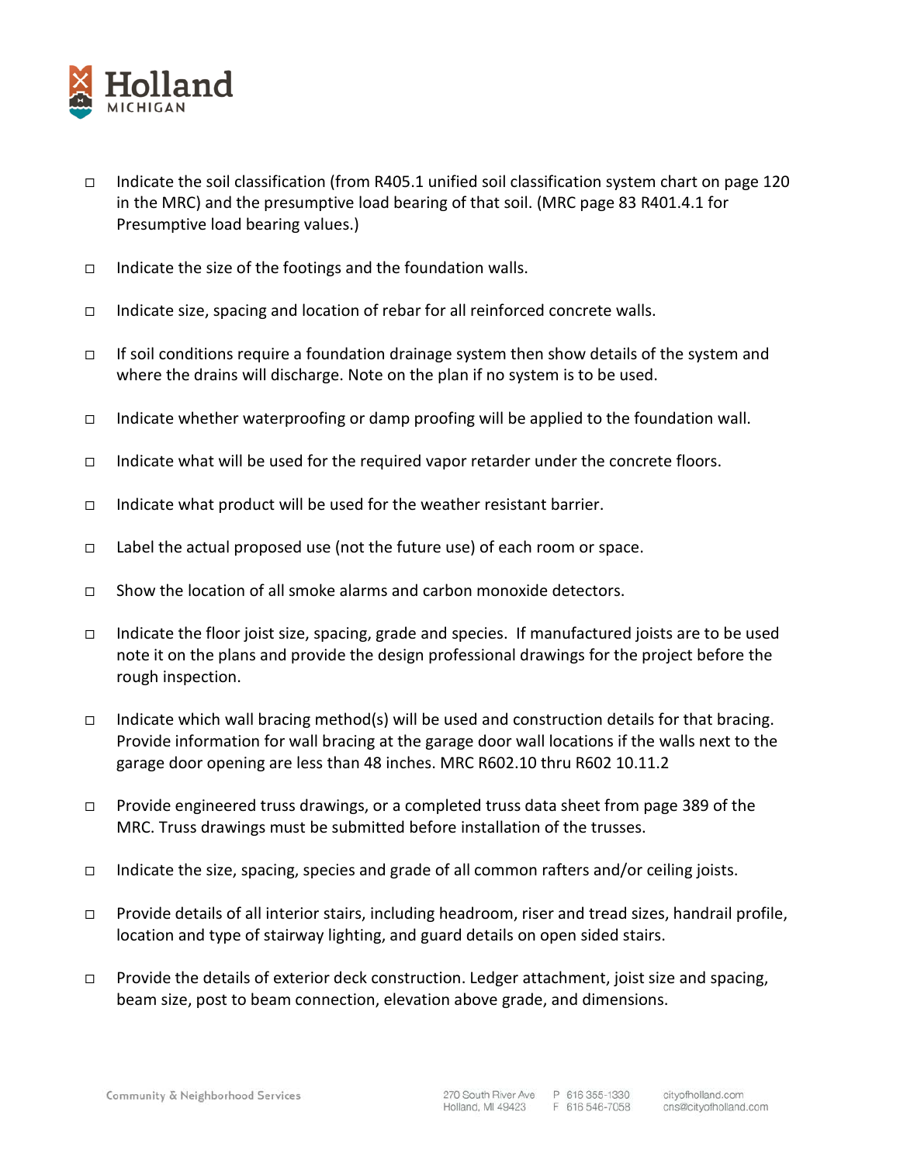

- Indicate the soil classification (from R405.1 unified soil classification system chart on page 120 in the MRC) and the presumptive load bearing of that soil. (MRC page 83 R401.4.1 for Presumptive load bearing values.)
- $\Box$  Indicate the size of the footings and the foundation walls.
- Indicate size, spacing and location of rebar for all reinforced concrete walls.
- If soil conditions require a foundation drainage system then show details of the system and where the drains will discharge. Note on the plan if no system is to be used.
- Indicate whether waterproofing or damp proofing will be applied to the foundation wall.
- Indicate what will be used for the required vapor retarder under the concrete floors.
- Indicate what product will be used for the weather resistant barrier.
- $\Box$  Label the actual proposed use (not the future use) of each room or space.
- $\Box$  Show the location of all smoke alarms and carbon monoxide detectors.
- Indicate the floor joist size, spacing, grade and species. If manufactured joists are to be used note it on the plans and provide the design professional drawings for the project before the rough inspection.
- $\Box$  Indicate which wall bracing method(s) will be used and construction details for that bracing. Provide information for wall bracing at the garage door wall locations if the walls next to the garage door opening are less than 48 inches. MRC R602.10 thru R602 10.11.2
- $\Box$  Provide engineered truss drawings, or a completed truss data sheet from page 389 of the MRC. Truss drawings must be submitted before installation of the trusses.
- $\Box$  Indicate the size, spacing, species and grade of all common rafters and/or ceiling joists.
- □ Provide details of all interior stairs, including headroom, riser and tread sizes, handrail profile, location and type of stairway lighting, and guard details on open sided stairs.
- $\Box$  Provide the details of exterior deck construction. Ledger attachment, joist size and spacing, beam size, post to beam connection, elevation above grade, and dimensions.